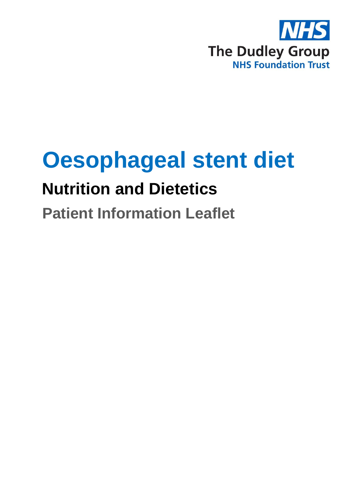

# **Oesophageal stent diet**

## **Nutrition and Dietetics**

### **Patient Information Leaflet**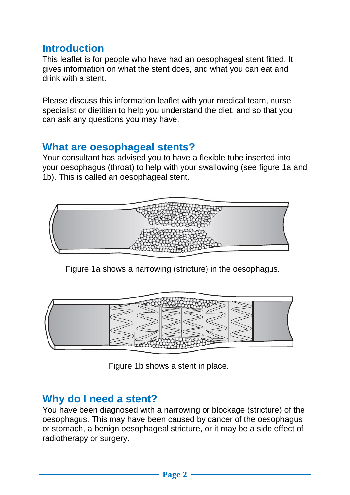#### **Introduction**

This leaflet is for people who have had an oesophageal stent fitted. It gives information on what the stent does, and what you can eat and drink with a stent.

Please discuss this information leaflet with your medical team, nurse specialist or dietitian to help you understand the diet, and so that you can ask any questions you may have.

#### **What are oesophageal stents?**

Your consultant has advised you to have a flexible tube inserted into your oesophagus (throat) to help with your swallowing (see figure 1a and 1b). This is called an oesophageal stent.



Figure 1a shows a narrowing (stricture) in the oesophagus.



Figure 1b shows a stent in place.

#### **Why do I need a stent?**

You have been diagnosed with a narrowing or blockage (stricture) of the oesophagus. This may have been caused by cancer of the oesophagus or stomach, a benign oesophageal stricture, or it may be a side effect of radiotherapy or surgery.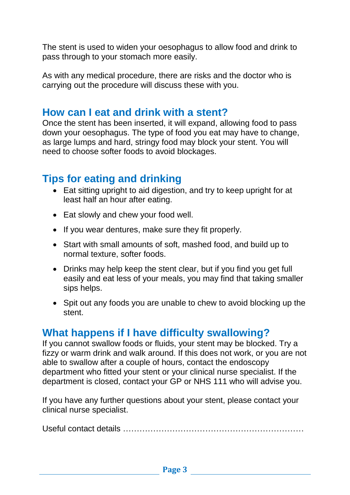The stent is used to widen your oesophagus to allow food and drink to pass through to your stomach more easily.

As with any medical procedure, there are risks and the doctor who is carrying out the procedure will discuss these with you.

#### **How can I eat and drink with a stent?**

Once the stent has been inserted, it will expand, allowing food to pass down your oesophagus. The type of food you eat may have to change, as large lumps and hard, stringy food may block your stent. You will need to choose softer foods to avoid blockages.

#### **Tips for eating and drinking**

- Eat sitting upright to aid digestion, and try to keep upright for at least half an hour after eating.
- Eat slowly and chew your food well.
- If you wear dentures, make sure they fit properly.
- Start with small amounts of soft, mashed food, and build up to normal texture, softer foods.
- Drinks may help keep the stent clear, but if you find you get full easily and eat less of your meals, you may find that taking smaller sips helps.
- Spit out any foods you are unable to chew to avoid blocking up the stent.

#### **What happens if I have difficulty swallowing?**

If you cannot swallow foods or fluids, your stent may be blocked. Try a fizzy or warm drink and walk around. If this does not work, or you are not able to swallow after a couple of hours, contact the endoscopy department who fitted your stent or your clinical nurse specialist. If the department is closed, contact your GP or NHS 111 who will advise you.

If you have any further questions about your stent, please contact your clinical nurse specialist.

Useful contact details …………………………………………………………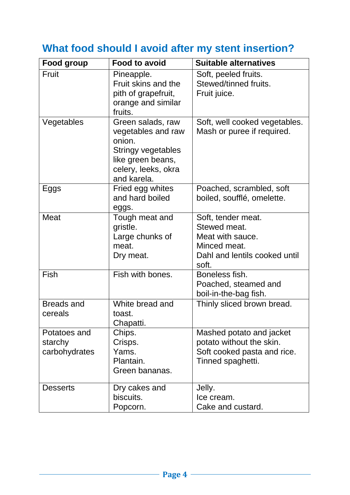### **What food should I avoid after my stent insertion?**

| <b>Food group</b>                        | <b>Food to avoid</b>                                                                                                               | <b>Suitable alternatives</b>                                                                                     |
|------------------------------------------|------------------------------------------------------------------------------------------------------------------------------------|------------------------------------------------------------------------------------------------------------------|
| Fruit                                    | Pineapple.<br>Fruit skins and the<br>pith of grapefruit,<br>orange and similar<br>fruits.                                          | Soft, peeled fruits.<br>Stewed/tinned fruits.<br>Fruit juice.                                                    |
| Vegetables                               | Green salads, raw<br>vegetables and raw<br>onion.<br>Stringy vegetables<br>like green beans,<br>celery, leeks, okra<br>and karela. | Soft, well cooked vegetables.<br>Mash or puree if required.                                                      |
| Eggs                                     | Fried egg whites<br>and hard boiled<br>eggs.                                                                                       | Poached, scrambled, soft<br>boiled, soufflé, omelette.                                                           |
| <b>Meat</b>                              | Tough meat and<br>gristle.<br>Large chunks of<br>meat.<br>Dry meat.                                                                | Soft, tender meat.<br>Stewed meat.<br>Meat with sauce.<br>Minced meat.<br>Dahl and lentils cooked until<br>soft. |
| Fish                                     | Fish with bones.                                                                                                                   | Boneless fish.<br>Poached, steamed and<br>boil-in-the-bag fish.                                                  |
| <b>Breads and</b><br>cereals             | White bread and<br>toast.<br>Chapatti.                                                                                             | Thinly sliced brown bread.                                                                                       |
| Potatoes and<br>starchy<br>carbohydrates | Chips.<br>Crisps.<br>Yams.<br>Plantain.<br>Green bananas.                                                                          | Mashed potato and jacket<br>potato without the skin.<br>Soft cooked pasta and rice.<br>Tinned spaghetti.         |
| <b>Desserts</b>                          | Dry cakes and<br>biscuits.<br>Popcorn.                                                                                             | Jelly.<br>Ice cream.<br>Cake and custard.                                                                        |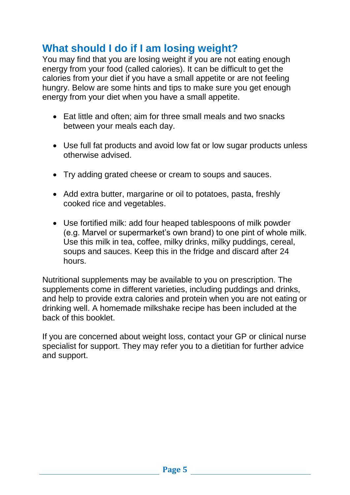#### **What should I do if I am losing weight?**

You may find that you are losing weight if you are not eating enough energy from your food (called calories). It can be difficult to get the calories from your diet if you have a small appetite or are not feeling hungry. Below are some hints and tips to make sure you get enough energy from your diet when you have a small appetite.

- Eat little and often; aim for three small meals and two snacks between your meals each day.
- Use full fat products and avoid low fat or low sugar products unless otherwise advised.
- Try adding grated cheese or cream to soups and sauces.
- Add extra butter, margarine or oil to potatoes, pasta, freshly cooked rice and vegetables.
- Use fortified milk: add four heaped tablespoons of milk powder (e.g. Marvel or supermarket's own brand) to one pint of whole milk. Use this milk in tea, coffee, milky drinks, milky puddings, cereal, soups and sauces. Keep this in the fridge and discard after 24 hours.

Nutritional supplements may be available to you on prescription. The supplements come in different varieties, including puddings and drinks, and help to provide extra calories and protein when you are not eating or drinking well. A homemade milkshake recipe has been included at the back of this booklet.

If you are concerned about weight loss, contact your GP or clinical nurse specialist for support. They may refer you to a dietitian for further advice and support.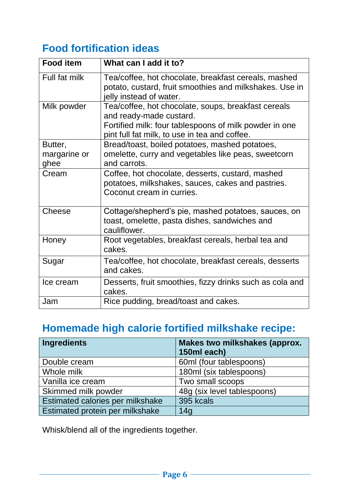#### **Food fortification ideas**

| <b>Food item</b>                | What can I add it to?                                                                                                                                                                     |
|---------------------------------|-------------------------------------------------------------------------------------------------------------------------------------------------------------------------------------------|
| Full fat milk                   | Tea/coffee, hot chocolate, breakfast cereals, mashed<br>potato, custard, fruit smoothies and milkshakes. Use in<br>jelly instead of water.                                                |
| Milk powder                     | Tea/coffee, hot chocolate, soups, breakfast cereals<br>and ready-made custard.<br>Fortified milk: four tablespoons of milk powder in one<br>pint full fat milk, to use in tea and coffee. |
| Butter,<br>margarine or<br>ghee | Bread/toast, boiled potatoes, mashed potatoes,<br>omelette, curry and vegetables like peas, sweetcorn<br>and carrots.                                                                     |
| Cream                           | Coffee, hot chocolate, desserts, custard, mashed<br>potatoes, milkshakes, sauces, cakes and pastries.<br>Coconut cream in curries.                                                        |
| Cheese                          | Cottage/shepherd's pie, mashed potatoes, sauces, on<br>toast, omelette, pasta dishes, sandwiches and<br>cauliflower.                                                                      |
| Honey                           | Root vegetables, breakfast cereals, herbal tea and<br>cakes.                                                                                                                              |
| Sugar                           | Tea/coffee, hot chocolate, breakfast cereals, desserts<br>and cakes.                                                                                                                      |
| Ice cream                       | Desserts, fruit smoothies, fizzy drinks such as cola and<br>cakes.                                                                                                                        |
| Jam                             | Rice pudding, bread/toast and cakes.                                                                                                                                                      |

#### **Homemade high calorie fortified milkshake recipe:**

| <b>Ingredients</b>               | <b>Makes two milkshakes (approx.</b><br>150ml each) |
|----------------------------------|-----------------------------------------------------|
|                                  |                                                     |
| Double cream                     | 60ml (four tablespoons)                             |
| Whole milk                       | 180ml (six tablespoons)                             |
| Vanilla ice cream                | Two small scoops                                    |
| Skimmed milk powder              | 48g (six level tablespoons)                         |
| Estimated calories per milkshake | 395 kcals                                           |
| Estimated protein per milkshake  | 14g                                                 |

Whisk/blend all of the ingredients together.